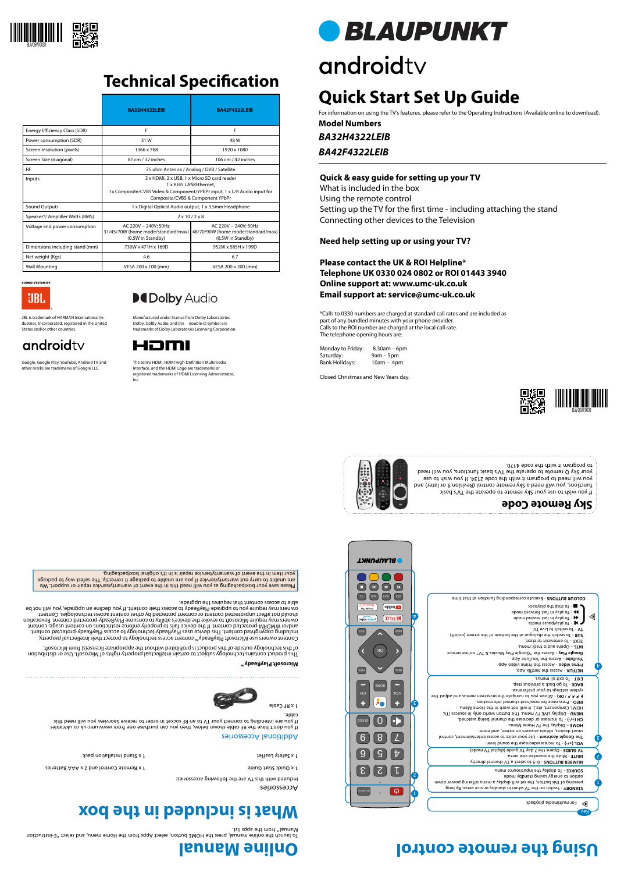Accessories

Included with this TV are the following accessories:



### **Online Manual Using the remote control**



## **Technical Specification**









#### **Quick & easy guide for setting up your TV**

Monday to Friday: 8.30am – 6pm Saturday: 9am – 5pm<br>Bank Holidays: 10am – 4pm Bank Holidays:

What is included in the box Using the remote control Setting up the TV for the first time - including attaching the stand Connecting other devices to the Television

**Need help setting up or using your TV?**

**Please contact the UK & ROI Helpline\* Telephone UK 0330 024 0802 or ROI 01443 3940 Online support at: www.umc-uk.co.uk Email support at: service@umc-uk.co.uk**



\*Calls to 0330 numbers are charged at standard call rates and are included as part of any bundled minutes with your phone provider. Calls to the ROI number are charged at the local call rate. The telephone opening hours are:



٤

 $\bm{\mathrm{b}}$ 

 $\triangleleft$ 

 - Switch on the TV when in standby or vice versa. By long **STANDBY** pressing of this button, the set will display a menu offering power down option to energy spings space space

Closed Christmas and New Years day.

**What is included in the box**

1 x Quick Start Guide Control and 2 x Aaar and 2 x Aastrol and 2 x Aastrol and 2 x Aaar Start Guide Start Guide Start Guide Start Guide Start Guide Start Guide Start Guide Start Guide Start Guide Start Guide Start Guide St

 - To increase/decrease the sound level. **VOL (+/-)** The Google Assistant - Use your voice to access entertainment, control

1 x RF Cable

Additional Accessories







If you don't have the RF cable shown below, then you can purchase one from www.umc-uk.co.uk/cables If you are intending to connect your TV to an RF socket in order to receive Saorview you will need this

cable.

2

L

 - 0–9 to select a TV channel directly. **NUMBER BUTTONS** - Mute the sound or vice versa. **MUTE**  - Opens the 7 day TV guide (digital TV mode). **TV GUIDE** 

To launch the online manual, press the HOME button, select Apps from the Home menu, and select "E-instruction

Manual" from the apps list.

| <b>ARDOPUNKT</b>                                                                        |                                                                                                                                        |
|-----------------------------------------------------------------------------------------|----------------------------------------------------------------------------------------------------------------------------------------|
| <b>IK</b>                                                                               |                                                                                                                                        |
| <b>STM</b><br><b>TX3T</b><br><b>aus</b>                                                 | COLOUR BUTTONS - Execute corresponding function at that time                                                                           |
| VT & zeivoM<br><b>eduTuoY</b><br><i>l</i> ey ချ6်၀၀၅<br><b>NETFLIX</b><br>bujud Ajqeo l | Spedvelg ent qote of -<br><b>900 - To play in fast forward mode</b><br>→ To play in fast rewind mode                                   |
| <b>TIXE</b><br><b>BACK</b>                                                              | eibəm əsusq\valq oT - $\blacksquare$<br>TV - To switch to Live TV.                                                                     |
|                                                                                         | .(fro\no) neense ent to mottod ent the bottom is the screen (on/off).<br>TEXT - To enter/exit teletext.<br>unem should bue track menu. |
| OK                                                                                      | <b>Google Play - Access the "Google Play Movies &amp; TV" online service</b>                                                           |

Please save your box/packaging as you will need this in the event of warranty/service repair or support. We are unable to carry out warranty/service if you are unable to package it correctly. The safest way to package your item in the event of warranty/service repair is in it's original box/packaging.

To display the input/source menu. **SOURCE -** 

The terms HDMI, HDMI High-Definition Multimedia Interface, and the HDMI Logo are trademarks or registered trademarks of HDMI Licensing Administrator, **BLAUPUNKT** 

# androidty

smart devices, obtain answers on screen, and more.

– Display the TV Home Menu. **HOME**

- To increase or decrease the channel being watched. **CH (+/-)**

- Display LIVE TV menu. This button works only in sources (TV, **MENU**

HDMI, Component, etc.). It will not work in the Home Menu.

- Press once for now/next channel information. **INFO** 

- Allows you to navigate the on-screen menus and adjust the **( / / / / OK)**

system settings to your preference.

- To go back a previous step. **BACK**

- To exit all menus. **EXIT**

 - Access the Prime video App. **Prime video** - Access the YouTube App. **YouTube**

**NETFLIX - Access the Netflix App.** 

**Microsoft PlayReady™**

This product contains technology subject to certain intellectual property rights of Microsoft. Use or distribution of this technology outside of this product is prohibited without the appropriate license(s) from Microsoft.

et 1 x Safety Leaflet and installation parameter  $\alpha$  is support that is set to the set of the set of the set of the set of the set of the set of the set of the set of the set of the set of the set of the set of the set of

Content owners use Microsoft PlayReady™ content access technology to protect their intellectual property, including copyrighted content. This device uses PlayReady technology to access PlayReady-protected content and/or WMDRM-protected content. If the device fails to properly enforce restrictions on content usage, content owners may require Microsoft to revoke the device's ability to consume PlayReady-protected content. Revocation ect unprotected content or content protected by other content access technologies. Content should not aff owners may require you to upgrade PlayReady to access their content. If you decline an upgrade, you will not be

able to access content that requires the upgrade.

If you wish to use your Sky remote to operate the TV's basic functions, you will need a Sky remote control (Revision 9 or later) and you will need to program it with the code 2134. If you wish to use your Sky Q remote to operate the TV's basic functions, you will need



to program it with the code 4170.





Google, Google Play, YouTube, Android TV and other marks are trademarks of Google LLC.

### **DCDolby Audio**

Inc.

*BA32H4322LEIB* **Model Numbers**

*BA42F4322LEIB*

## **Quick Start Set Up Guide**

For information on using the TV's features, please refer to the Operating Instructions (Available online to download).

Manufactured under license from Dolby Laboratories. Dolby, Dolby Audio, and the double-D symbol are trademarks of Dolby Laboratories Licensing Corporation. JBL is trademark of HARMAN International Industries, Incorporated, registered in the United



|                                 | <b>BA32H4322LEIB</b>                                                                                                                                                                  | <b>BA42F4322LEIB</b>                                                            |  |  |
|---------------------------------|---------------------------------------------------------------------------------------------------------------------------------------------------------------------------------------|---------------------------------------------------------------------------------|--|--|
| Energy Efficiency Class (SDR)   | F                                                                                                                                                                                     | F                                                                               |  |  |
| Power consumption (SDR)         | 31W                                                                                                                                                                                   | 48 W                                                                            |  |  |
| Screen resolution (pixels)      | 1366 x 768                                                                                                                                                                            | 1920 x 1080                                                                     |  |  |
| Screen Size (diagonal)          | 81 cm / 32 inches                                                                                                                                                                     | 106 cm / 42 inches                                                              |  |  |
| <b>RF</b>                       | 75 ohm Antenna / Analog / DVB / Satellite                                                                                                                                             |                                                                                 |  |  |
| Inputs                          | 3 x HDMI, 2 x USB, 1 x Micro SD card reader<br>1 x RJ45 LAN/Ethernet.<br>1x Composite/CVBS Video & Component/YPbPr input, 1 x L/R Audio input for<br>Composite/CVBS & Component YPbPr |                                                                                 |  |  |
| Sound Outputs                   | 1 x Digital Optical Audio output, 1 x 3.5mm Headphone                                                                                                                                 |                                                                                 |  |  |
| Speaker*/ Amplifier Watts (RMS) | $2 \times 10 / 2 \times 8$                                                                                                                                                            |                                                                                 |  |  |
| Voltage and power consumption   | AC 220V ~ 240V; 50Hz<br>31/45/70W (home mode/standard/max)<br>(0.5W in Standby)                                                                                                       | AC 220V ~ 240V; 50Hz<br>48/70/90W (home mode/standard/max)<br>(0.5W in Standby) |  |  |
| Dimensions including stand (mm) | 730W x 471H x 169D                                                                                                                                                                    | 952W x 585H x 199D                                                              |  |  |
| Net weight (Kgs)                | 4.6                                                                                                                                                                                   | 6.7                                                                             |  |  |
| <b>Wall Mounting</b>            | VESA 200 x 100 (mm)                                                                                                                                                                   | VESA 200 x 200 (mm)                                                             |  |  |

**SOUND SYSTEM BY** UBL.

States and/or other countries.

androidty